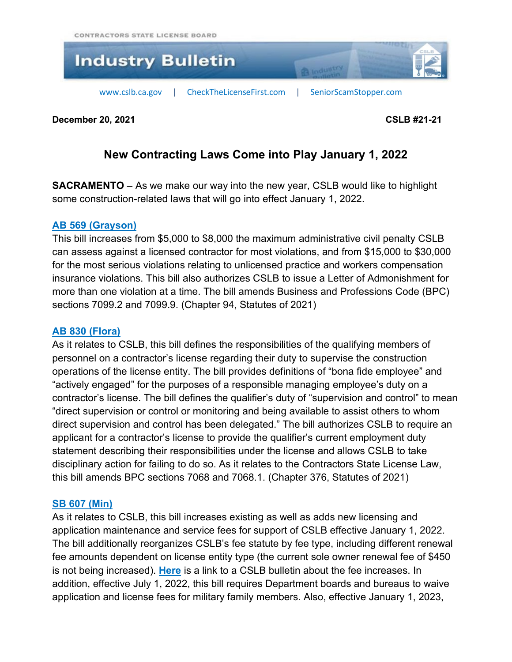

**December 20, 2021 CSLB #21-21**

# **New Contracting Laws Come into Play January 1, 2022**

**SACRAMENTO** – As we make our way into the new year, CSLB would like to highlight some construction-related laws that will go into effect January 1, 2022.

#### **AB 569 [\(Grayson\)](https://leginfo.legislature.ca.gov/faces/billNavClient.xhtml?bill_id=202120220AB569)**

This bill increases from \$5,000 to \$8,000 the maximum administrative civil penalty CSLB can assess against a licensed contractor for most violations, and from \$15,000 to \$30,000 for the most serious violations relating to unlicensed practice and workers compensation insurance violations. This bill also authorizes CSLB to issue a Letter of Admonishment for more than one violation at a time. The bill amends Business and Professions Code (BPC) sections 7099.2 and 7099.9. (Chapter 94, Statutes of 2021)

### **AB 830 [\(Flora\)](https://leginfo.legislature.ca.gov/faces/billNavClient.xhtml?bill_id=202120220AB830)**

As it relates to CSLB, this bill defines the responsibilities of the qualifying members of personnel on a contractor's license regarding their duty to supervise the construction operations of the license entity. The bill provides definitions of "bona fide employee" and "actively engaged" for the purposes of a responsible managing employee's duty on a contractor's license. The bill defines the qualifier's duty of "supervision and control" to mean "direct supervision or control or monitoring and being available to assist others to whom direct supervision and control has been delegated." The bill authorizes CSLB to require an applicant for a contractor's license to provide the qualifier's current employment duty statement describing their responsibilities under the license and allows CSLB to take disciplinary action for failing to do so. As it relates to the Contractors State License Law, this bill amends BPC sections 7068 and 7068.1. (Chapter 376, Statutes of 2021)

#### **SB 607 [\(Min\)](https://leginfo.legislature.ca.gov/faces/billNavClient.xhtml?bill_id=202120220AB607)**

As it relates to CSLB, this bill increases existing as well as adds new licensing and application maintenance and service fees for support of CSLB effective January 1, 2022. The bill additionally reorganizes CSLB's fee statute by fee type, including different renewal fee amounts dependent on license entity type (the current sole owner renewal fee of \$450 is not being increased). **[Here](https://www.cslb.ca.gov/Resources/IndustryBulletins/2021/New_Fee_Schedule.pdf)** is a link to a CSLB bulletin about the fee increases. In addition, effective July 1, 2022, this bill requires Department boards and bureaus to waive application and license fees for military family members. Also, effective January 1, 2023,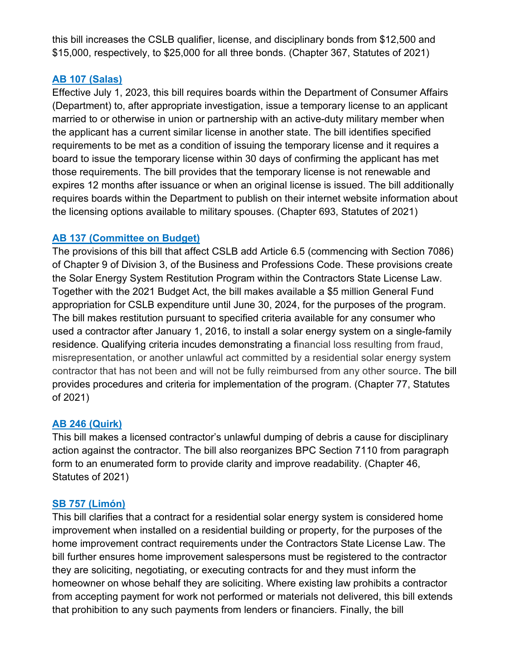this bill increases the CSLB qualifier, license, and disciplinary bonds from \$12,500 and \$15,000, respectively, to \$25,000 for all three bonds. (Chapter 367, Statutes of 2021)

# **AB 107 [\(Salas\)](https://leginfo.legislature.ca.gov/faces/billNavClient.xhtml?bill_id=202120220AB107)**

Effective July 1, 2023, this bill requires boards within the Department of Consumer Affairs (Department) to, after appropriate investigation, issue a temporary license to an applicant married to or otherwise in union or partnership with an active-duty military member when the applicant has a current similar license in another state. The bill identifies specified requirements to be met as a condition of issuing the temporary license and it requires a board to issue the temporary license within 30 days of confirming the applicant has met those requirements. The bill provides that the temporary license is not renewable and expires 12 months after issuance or when an original license is issued. The bill additionally requires boards within the Department to publish on their internet website information about the licensing options available to military spouses. (Chapter 693, Statutes of 2021)

# **AB 137 [\(Committee](https://leginfo.legislature.ca.gov/faces/billNavClient.xhtml?bill_id=202120220AB137) on Budget)**

The provisions of this bill that affect CSLB add Article 6.5 (commencing with Section 7086) of Chapter 9 of Division 3, of the Business and Professions Code. These provisions create the Solar Energy System Restitution Program within the Contractors State License Law. Together with the 2021 Budget Act, the bill makes available a \$5 million General Fund appropriation for CSLB expenditure until June 30, 2024, for the purposes of the program. The bill makes restitution pursuant to specified criteria available for any consumer who used a contractor after January 1, 2016, to install a solar energy system on a single-family residence. Qualifying criteria incudes demonstrating a financial loss resulting from fraud, misrepresentation, or another unlawful act committed by a residential solar energy system contractor that has not been and will not be fully reimbursed from any other source. The bill provides procedures and criteria for implementation of the program. (Chapter 77, Statutes of 2021)

# **AB 246 [\(Quirk\)](https://leginfo.legislature.ca.gov/faces/billNavClient.xhtml?bill_id=202120220AB246)**

This bill makes a licensed contractor's unlawful dumping of debris a cause for disciplinary action against the contractor. The bill also reorganizes BPC Section 7110 from paragraph form to an enumerated form to provide clarity and improve readability. (Chapter 46, Statutes of 2021)

#### **SB 757 [\(Limón\)](https://leginfo.legislature.ca.gov/faces/billNavClient.xhtml?bill_id=202120220SB757)**

This bill clarifies that a contract for a residential solar energy system is considered home improvement when installed on a residential building or property, for the purposes of the home improvement contract requirements under the Contractors State License Law. The bill further ensures home improvement salespersons must be registered to the contractor they are soliciting, negotiating, or executing contracts for and they must inform the homeowner on whose behalf they are soliciting. Where existing law prohibits a contractor from accepting payment for work not performed or materials not delivered, this bill extends that prohibition to any such payments from lenders or financiers. Finally, the bill